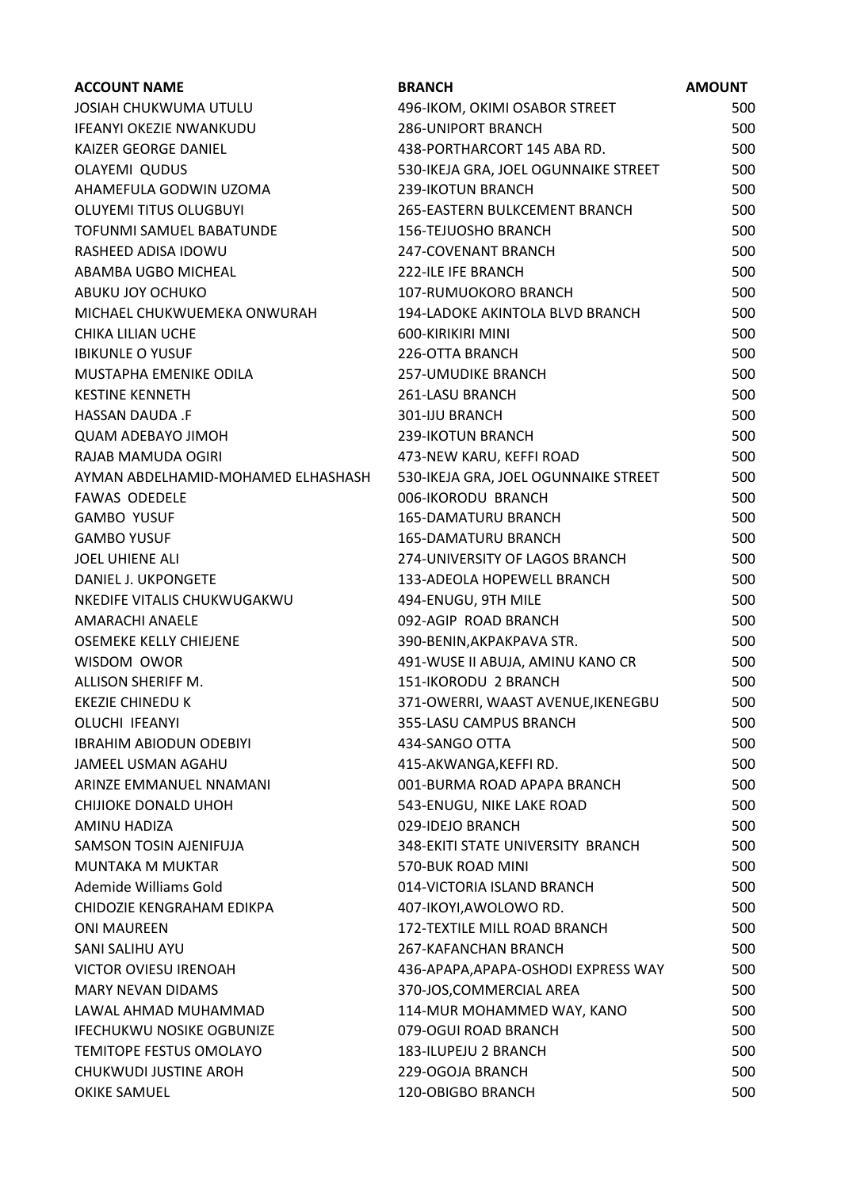| <b>ACCOUNT NAME</b>                | <b>BRANCH</b>                        | <b>AMOUNT</b> |
|------------------------------------|--------------------------------------|---------------|
| JOSIAH CHUKWUMA UTULU              | 496-IKOM, OKIMI OSABOR STREET        | 500           |
| <b>IFEANYI OKEZIE NWANKUDU</b>     | <b>286-UNIPORT BRANCH</b>            | 500           |
| KAIZER GEORGE DANIEL               | 438-PORTHARCORT 145 ABA RD.          | 500           |
| OLAYEMI QUDUS                      | 530-IKEJA GRA, JOEL OGUNNAIKE STREET | 500           |
| AHAMEFULA GODWIN UZOMA             | 239-IKOTUN BRANCH                    | 500           |
| <b>OLUYEMI TITUS OLUGBUYI</b>      | 265-EASTERN BULKCEMENT BRANCH        | 500           |
| TOFUNMI SAMUEL BABATUNDE           | <b>156-TEJUOSHO BRANCH</b>           | 500           |
| RASHEED ADISA IDOWU                | 247-COVENANT BRANCH                  | 500           |
| ABAMBA UGBO MICHEAL                | <b>222-ILE IFE BRANCH</b>            | 500           |
| ABUKU JOY OCHUKO                   | 107-RUMUOKORO BRANCH                 | 500           |
| MICHAEL CHUKWUEMEKA ONWURAH        | 194-LADOKE AKINTOLA BLVD BRANCH      | 500           |
| CHIKA LILIAN UCHE                  | 600-KIRIKIRI MINI                    | 500           |
| <b>IBIKUNLE O YUSUF</b>            | 226-OTTA BRANCH                      | 500           |
| MUSTAPHA EMENIKE ODILA             | <b>257-UMUDIKE BRANCH</b>            | 500           |
| <b>KESTINE KENNETH</b>             | 261-LASU BRANCH                      | 500           |
| HASSAN DAUDA .F                    | 301-IJU BRANCH                       | 500           |
| <b>QUAM ADEBAYO JIMOH</b>          | 239-IKOTUN BRANCH                    | 500           |
| RAJAB MAMUDA OGIRI                 | 473-NEW KARU, KEFFI ROAD             | 500           |
| AYMAN ABDELHAMID-MOHAMED ELHASHASH | 530-IKEJA GRA, JOEL OGUNNAIKE STREET | 500           |
| <b>FAWAS ODEDELE</b>               | 006-IKORODU BRANCH                   | 500           |
| <b>GAMBO YUSUF</b>                 | 165-DAMATURU BRANCH                  | 500           |
| <b>GAMBO YUSUF</b>                 | <b>165-DAMATURU BRANCH</b>           | 500           |
| <b>JOEL UHIENE ALI</b>             | 274-UNIVERSITY OF LAGOS BRANCH       | 500           |
| DANIEL J. UKPONGETE                | 133-ADEOLA HOPEWELL BRANCH           | 500           |
| NKEDIFE VITALIS CHUKWUGAKWU        | 494-ENUGU, 9TH MILE                  | 500           |
| AMARACHI ANAELE                    | 092-AGIP ROAD BRANCH                 | 500           |
| OSEMEKE KELLY CHIEJENE             | 390-BENIN, AKPAKPAVA STR.            | 500           |
| WISDOM OWOR                        | 491-WUSE II ABUJA, AMINU KANO CR     | 500           |
| ALLISON SHERIFF M.                 | 151-IKORODU 2 BRANCH                 | 500           |
| <b>EKEZIE CHINEDU K</b>            | 371-OWERRI, WAAST AVENUE, IKENEGBU   | 500           |
| <b>OLUCHI IFEANYI</b>              | 355-LASU CAMPUS BRANCH               | 500           |
| <b>IBRAHIM ABIODUN ODEBIYI</b>     | 434-SANGO OTTA                       | 500           |
| JAMEEL USMAN AGAHU                 | 415-AKWANGA, KEFFI RD.               | 500           |
| ARINZE EMMANUEL NNAMANI            | 001-BURMA ROAD APAPA BRANCH          | 500           |
| CHIJIOKE DONALD UHOH               | 543-ENUGU, NIKE LAKE ROAD            | 500           |
| AMINU HADIZA                       | 029-IDEJO BRANCH                     | 500           |
| SAMSON TOSIN AJENIFUJA             | 348-EKITI STATE UNIVERSITY BRANCH    | 500           |
| <b>MUNTAKA M MUKTAR</b>            | 570-BUK ROAD MINI                    | 500           |
| Ademide Williams Gold              | 014-VICTORIA ISLAND BRANCH           | 500           |
| CHIDOZIE KENGRAHAM EDIKPA          | 407-IKOYI, AWOLOWO RD.               | 500           |
| <b>ONI MAUREEN</b>                 | 172-TEXTILE MILL ROAD BRANCH         | 500           |
| SANI SALIHU AYU                    | 267-KAFANCHAN BRANCH                 | 500           |
| <b>VICTOR OVIESU IRENOAH</b>       | 436-APAPA, APAPA-OSHODI EXPRESS WAY  | 500           |
| <b>MARY NEVAN DIDAMS</b>           | 370-JOS, COMMERCIAL AREA             | 500           |
| LAWAL AHMAD MUHAMMAD               | 114-MUR MOHAMMED WAY, KANO           | 500           |
| <b>IFECHUKWU NOSIKE OGBUNIZE</b>   | 079-OGUI ROAD BRANCH                 | 500           |
| TEMITOPE FESTUS OMOLAYO            | 183-ILUPEJU 2 BRANCH                 | 500           |
| <b>CHUKWUDI JUSTINE AROH</b>       | 229-OGOJA BRANCH                     | 500           |
| OKIKE SAMUEL                       | 120-OBIGBO BRANCH                    | 500           |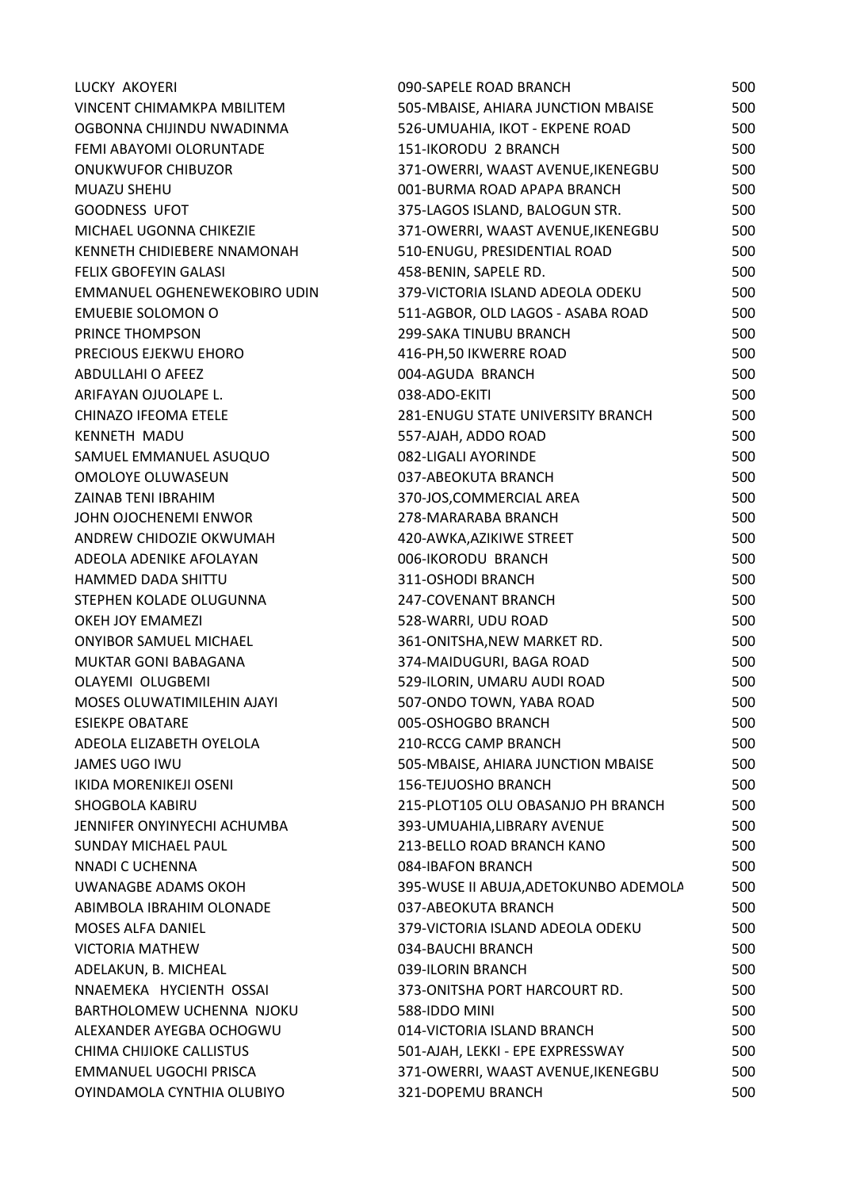| LUCKY AKOYERI                 | 090-SAPELE ROAD BRANCH                | 500 |
|-------------------------------|---------------------------------------|-----|
| VINCENT CHIMAMKPA MBILITEM    | 505-MBAISE, AHIARA JUNCTION MBAISE    | 500 |
| OGBONNA CHIJINDU NWADINMA     | 526-UMUAHIA, IKOT - EKPENE ROAD       | 500 |
| FEMI ABAYOMI OLORUNTADE       | 151-IKORODU 2 BRANCH                  | 500 |
| <b>ONUKWUFOR CHIBUZOR</b>     | 371-OWERRI, WAAST AVENUE, IKENEGBU    | 500 |
| MUAZU SHEHU                   | 001-BURMA ROAD APAPA BRANCH           | 500 |
| <b>GOODNESS UFOT</b>          | 375-LAGOS ISLAND, BALOGUN STR.        | 500 |
| MICHAEL UGONNA CHIKEZIE       | 371-OWERRI, WAAST AVENUE, IKENEGBU    | 500 |
| KENNETH CHIDIEBERE NNAMONAH   | 510-ENUGU, PRESIDENTIAL ROAD          | 500 |
| <b>FELIX GBOFEYIN GALASI</b>  | 458-BENIN, SAPELE RD.                 | 500 |
| EMMANUEL OGHENEWEKOBIRO UDIN  | 379-VICTORIA ISLAND ADEOLA ODEKU      | 500 |
| <b>EMUEBIE SOLOMON O</b>      | 511-AGBOR, OLD LAGOS - ASABA ROAD     | 500 |
| PRINCE THOMPSON               | 299-SAKA TINUBU BRANCH                | 500 |
| PRECIOUS EJEKWU EHORO         | 416-PH, 50 IKWERRE ROAD               | 500 |
| ABDULLAHI O AFEEZ             | 004-AGUDA BRANCH                      | 500 |
| ARIFAYAN OJUOLAPE L.          | 038-ADO-EKITI                         | 500 |
| CHINAZO IFEOMA ETELE          | 281-ENUGU STATE UNIVERSITY BRANCH     | 500 |
| <b>KENNETH MADU</b>           | 557-AJAH, ADDO ROAD                   | 500 |
| SAMUEL EMMANUEL ASUQUO        | 082-LIGALI AYORINDE                   | 500 |
| OMOLOYE OLUWASEUN             | 037-ABEOKUTA BRANCH                   | 500 |
| ZAINAB TENI IBRAHIM           | 370-JOS, COMMERCIAL AREA              | 500 |
| JOHN OJOCHENEMI ENWOR         | 278-MARARABA BRANCH                   | 500 |
| ANDREW CHIDOZIE OKWUMAH       | 420-AWKA, AZIKIWE STREET              | 500 |
| ADEOLA ADENIKE AFOLAYAN       | 006-IKORODU BRANCH                    | 500 |
| <b>HAMMED DADA SHITTU</b>     | 311-OSHODI BRANCH                     | 500 |
| STEPHEN KOLADE OLUGUNNA       | 247-COVENANT BRANCH                   | 500 |
| OKEH JOY EMAMEZI              | 528-WARRI, UDU ROAD                   | 500 |
| <b>ONYIBOR SAMUEL MICHAEL</b> | 361-ONITSHA, NEW MARKET RD.           | 500 |
| MUKTAR GONI BABAGANA          | 374-MAIDUGURI, BAGA ROAD              | 500 |
| <b>OLAYEMI OLUGBEMI</b>       | 529-ILORIN, UMARU AUDI ROAD           | 500 |
| MOSES OLUWATIMILEHIN AJAYI    | 507-ONDO TOWN, YABA ROAD              | 500 |
| <b>ESIEKPE OBATARE</b>        | 005-OSHOGBO BRANCH                    | 500 |
| ADEOLA ELIZABETH OYELOLA      | <b>210-RCCG CAMP BRANCH</b>           | 500 |
| JAMES UGO IWU                 | 505-MBAISE, AHIARA JUNCTION MBAISE    | 500 |
| IKIDA MORENIKEJI OSENI        | <b>156-TEJUOSHO BRANCH</b>            | 500 |
| SHOGBOLA KABIRU               | 215-PLOT105 OLU OBASANJO PH BRANCH    | 500 |
| JENNIFER ONYINYECHI ACHUMBA   | 393-UMUAHIA, LIBRARY AVENUE           | 500 |
| <b>SUNDAY MICHAEL PAUL</b>    | 213-BELLO ROAD BRANCH KANO            | 500 |
| NNADI C UCHENNA               | 084-IBAFON BRANCH                     | 500 |
| UWANAGBE ADAMS OKOH           | 395-WUSE II ABUJA, ADETOKUNBO ADEMOLA | 500 |
| ABIMBOLA IBRAHIM OLONADE      | 037-ABEOKUTA BRANCH                   | 500 |
| <b>MOSES ALFA DANIEL</b>      | 379-VICTORIA ISLAND ADEOLA ODEKU      | 500 |
| <b>VICTORIA MATHEW</b>        | 034-BAUCHI BRANCH                     | 500 |
| ADELAKUN, B. MICHEAL          | 039-ILORIN BRANCH                     | 500 |
| NNAEMEKA HYCIENTH OSSAI       | 373-ONITSHA PORT HARCOURT RD.         | 500 |
| BARTHOLOMEW UCHENNA NJOKU     | 588-IDDO MINI                         | 500 |
| ALEXANDER AYEGBA OCHOGWU      | 014-VICTORIA ISLAND BRANCH            | 500 |
| CHIMA CHIJIOKE CALLISTUS      | 501-AJAH, LEKKI - EPE EXPRESSWAY      | 500 |
| EMMANUEL UGOCHI PRISCA        | 371-OWERRI, WAAST AVENUE, IKENEGBU    | 500 |
| OYINDAMOLA CYNTHIA OLUBIYO    | 321-DOPEMU BRANCH                     | 500 |